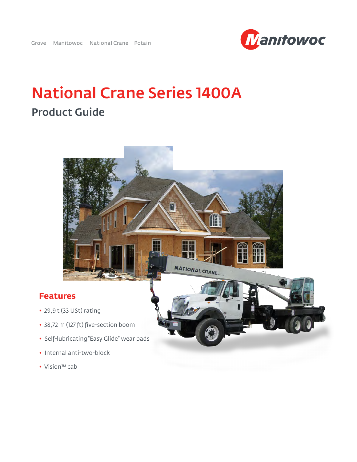

## National Crane Series 1400A Product Guide



- 29,9 t (33 USt) rating
- 38,72 m (127 ft) five-section boom
- Self-lubricating "Easy Glide" wear pads
- Internal anti-two-block
- Vision™ cab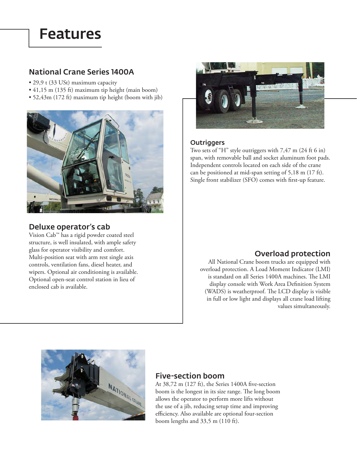## Features

### National Crane Series 1400A

- 29,9 t (33 USt) maximum capacity
- 41,15 m (135 ft) maximum tip height (main boom)
- 52,43m (172 ft) maximum tip height (boom with jib)



### Deluxe operator's cab

Vision Cab™ has a rigid powder coated steel structure, is well insulated, with ample safety glass for operator visibility and comfort. Multi-position seat with arm rest single axis controls, ventilation fans, diesel heater, and wipers. Optional air conditioning is available. Optional open-seat control station in lieu of enclosed cab is available.



### **Outriggers**

Two sets of "H" style outriggers with 7,47 m (24 ft 6 in) span, with removable ball and socket aluminum foot pads. Independent controls located on each side of the crane can be positioned at mid-span setting of 5,18 m (17 ft). Single front stabilizer (SFO) comes with first-up feature.

### Overload protection

All National Crane boom trucks are equipped with overload protection. A Load Moment Indicator (LMI) is standard on all Series 1400A machines. The LMI display console with Work Area Definition System (WADS) is weatherproof. The LCD display is visible in full or low light and displays all crane load lifting values simultaneously.



### Five-section boom

At 38,72 m (127 ft), the Series 1400A five-section boom is the longest in its size range. The long boom allows the operator to perform more lifts without the use of a jib, reducing setup time and improving efficiency. Also available are optional four-section boom lengths and 33,5 m (110 ft).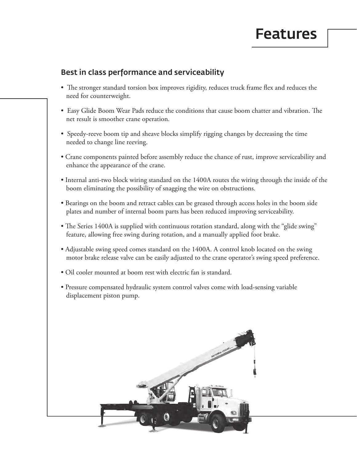## Features

### Best in class performance and serviceability

- The stronger standard torsion box improves rigidity, reduces truck frame flex and reduces the need for counterweight.
- Easy Glide Boom Wear Pads reduce the conditions that cause boom chatter and vibration. The net result is smoother crane operation.
- Speedy-reeve boom tip and sheave blocks simplify rigging changes by decreasing the time needed to change line reeving.
- Crane components painted before assembly reduce the chance of rust, improve serviceability and enhance the appearance of the crane.
- Internal anti-two block wiring standard on the 1400A routes the wiring through the inside of the boom eliminating the possibility of snagging the wire on obstructions.
- Bearings on the boom and retract cables can be greased through access holes in the boom side plates and number of internal boom parts has been reduced improving serviceability.
- The Series 1400A is supplied with continuous rotation standard, along with the "glide swing" feature, allowing free swing during rotation, and a manually applied foot brake.
- Adjustable swing speed comes standard on the 1400A. A control knob located on the swing motor brake release valve can be easily adjusted to the crane operator's swing speed preference.
- Oil cooler mounted at boom rest with electric fan is standard.
- Pressure compensated hydraulic system control valves come with load-sensing variable displacement piston pump.

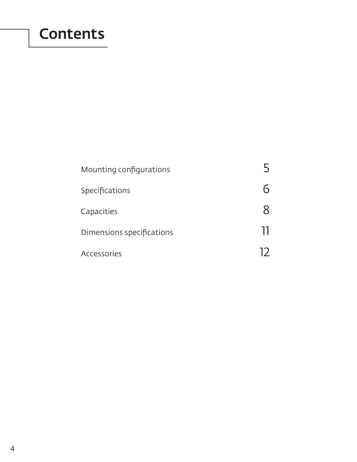## **Contents**

| Mounting configurations   |  |
|---------------------------|--|
| Specifications            |  |
| Capacities                |  |
| Dimensions specifications |  |
| Accessories               |  |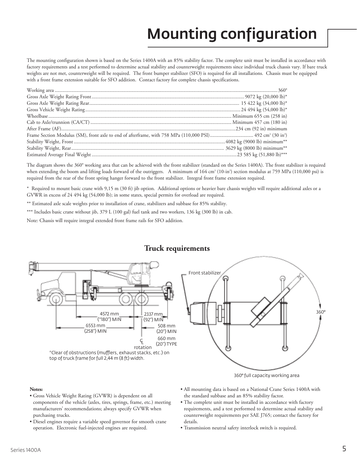# Mounting configuration

The mounting configuration shown is based on the Series 1400A with an 85% stability factor. The complete unit must be installed in accordance with factory requirements and a test performed to determine actual stability and counterweight requirements since individual truck chassis vary. If bare truck weights are not met, counterweight will be required. The front bumper stabilizer (SFO) is required for all installations. Chassis must be equipped with a front frame extension suitable for SFO addition. Contact factory for complete chassis specifications.

The diagram shows the 360° working area that can be achieved with the front stabilizer (standard on the Series 1400A). The front stabilizer is required when extending the boom and lifting loads forward of the outriggers. A minimum of 164 cm<sup>3</sup> (10-in<sup>3</sup>) section modulus at 759 MPa (110,000 psi) is required from the rear of the front spring hanger forward to the front stabilizer. Integral front frame extension required.

\* Required to mount basic crane with 9,15 m (30 ft) jib option. Additional options or heavier bare chassis weights will require additional axles or a GVWR in excess of 24 494 kg (54,000 lb); in some states, special permits for overload are required.

\*\* Estimated axle scale weights prior to installation of crane, stabilizers and subbase for 85% stability.

\*\*\* Includes basic crane without jib, 379 L (100 gal) fuel tank and two workers, 136 kg (300 lb) in cab.

Note: Chassis will require integral extended front frame rails for SFO addition.



### **Truck requirements**

#### **Notes:**

- Gross Vehicle Weight Rating (GVWR) is dependent on all components of the vehicle (axles, tires, springs, frame, etc.) meeting manufacturers' recommendations; always specify GVWR when purchasing trucks.
- Diesel engines require a variable speed governor for smooth crane operation. Electronic fuel-injected engines are required.
- 360° full capacity working area
- All mounting data is based on a National Crane Series 1400A with the standard subbase and an 85% stability factor.
- The complete unit must be installed in accordance with factory requirements, and a test performed to determine actual stability and counterweight requirements per SAE J765; contact the factory for details.
- Transmission neutral safety interlock switch is required.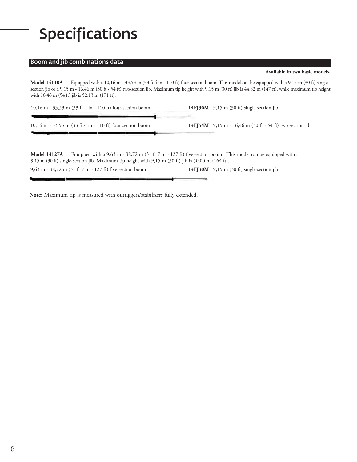## Specifications

#### Boom and jib combinations data

مسحمة أردسس

-9

**Available in two basic models.** 

Model 14110A — Equipped with a 10,16 m - 33,53 m (33 ft 4 in - 110 ft) four-section boom. This model can be equipped with a 9,15 m (30 ft) single section jib or a 9,15 m - 16,46 m (30 ft - 54 ft) two-section jib. Maximum tip height with 9,15 m (30 ft) jib is 44,82 m (147 ft), while maximum tip height with 16,46 m (54 ft) jib is 52,13 m (171 ft).

| 10,16 m - 33,53 m (33 ft 4 in - 110 ft) four-section boom                            | $14FJ30M$ 9,15 m (30 ft) single-section jib                     |
|--------------------------------------------------------------------------------------|-----------------------------------------------------------------|
| 10,16 m - 33,53 m $(33 \text{ ft } 4 \text{ in } -110 \text{ ft})$ four-section boom | <b>14FJ54M</b> 9,15 m - 16,46 m (30 ft - 54 ft) two-section jib |

**Model 14127A** — Equipped with a 9,63 m - 38,72 m (31 ft 7 in - 127 ft) five-section boom. This model can be equipped with a 9,15 m (30 ft) single-section jib. Maximum tip height with 9,15 m (30 ft) jib is 50,00 m (164 ft).

9,63 m - 38,72 m (31 ft 7 in - 127 ft) five-section boom **14FJ30M** 9,15 m (30 ft) single-section jib

**Note:** Maximum tip is measured with outriggers/stabilizers fully extended.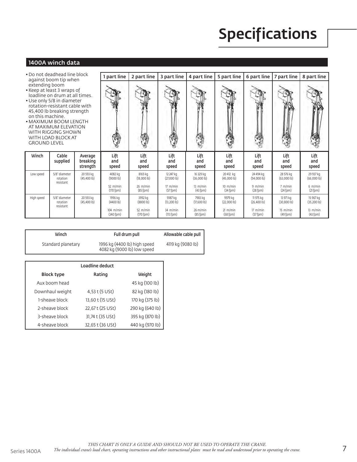# Specifications

### 1400A winch data

- •Do not deadhead line block against boom tip when extending boom
- •Keep at least 3 wraps of
- •Use only 5/8 in diameter 45,400 lb breaking strength
- •MAXIMUM BOOM LENGTH AT MAXIMUM ELEVATION WITH RIGGING SHOWN WITH LOAD BLOCK AT GROUND LEVEL

| Do not deadhead line block<br>against boom tip when<br>extending boom<br>Keep at least 3 wraps of<br>loadline on drum at all times.<br>Use only 5/8 in diameter<br>rotation-resistant cable with<br>45,400 lb breaking strength<br>on this machine.<br>MAXIMUM BOOM LENGTH<br>AT MAXIMUM ELEVATION<br>WITH RIGGING SHOWN<br>WITH LOAD BLOCK AT<br>GROUND LEVEL |                                        |                                 | part line                    | 2 part line                  | 3 part line                         | 4 part line                         | 5 part line                 | 6 part line                    | 7 part line                   | 8 part line                    |
|----------------------------------------------------------------------------------------------------------------------------------------------------------------------------------------------------------------------------------------------------------------------------------------------------------------------------------------------------------------|----------------------------------------|---------------------------------|------------------------------|------------------------------|-------------------------------------|-------------------------------------|-----------------------------|--------------------------------|-------------------------------|--------------------------------|
|                                                                                                                                                                                                                                                                                                                                                                |                                        |                                 |                              |                              |                                     |                                     |                             |                                |                               |                                |
| Winch                                                                                                                                                                                                                                                                                                                                                          | Cable<br>supplied                      | Average<br>breaking<br>strength | Lift<br>and<br>speed         | Lift<br>and<br>speed         | Lift<br>and<br>speed                | Lift<br>and<br>speed                | Lift<br>and<br>speed        | Lift<br>and<br>speed           | Lift<br>and<br>speed          | Lift<br>and<br>speed           |
| Low speed                                                                                                                                                                                                                                                                                                                                                      | 5/8" diameter<br>rotation<br>resistant | 20 593 kg<br>$(45.400 \, lb)$   | 4082 kg<br>(9000 lb)         | 8165 kg<br>(18,0001b)        | 12 247 kg<br>(27,000 lb)            | 16 329 kg<br>(36,0001b)             | 20 412 kg<br>(45,0001b)     | 24 494 kg<br>(54,000 lb)       | 28 576 kg<br>(63,000 lb)      | 29 937 kg<br>(66,000 lb)       |
|                                                                                                                                                                                                                                                                                                                                                                |                                        |                                 | 52 $m/min$<br>$(170$ fpm $)$ | $26$ m/min<br>$(85$ fpm $)$  | $17 \text{ m/min}$<br>$(57$ fpm $)$ | $13 \text{ m/min}$<br>$(43$ fpm)    | $10$ m/min<br>(34 from)     | 9 m/min<br>(28 fpm)            | 7 m/min<br>(24 fpm)           | $6$ m/min<br>$(21$ fpm $)$     |
| High speed                                                                                                                                                                                                                                                                                                                                                     | 5/8" diameter<br>rotation<br>resistant | 20 593 kg<br>(45,4001b)         | 1996 kg<br>(4400 lb)         | 3992 kg<br>(8800 lb)         | 5987 kg<br>$(13,200 \, lb)$         | 7983 kg<br>(17,6001b)               | 9979 kg<br>(22,0001b)       | 11 975 kg<br>$(26, 400 \, lb)$ | 13 971 kg<br>$(30,800 \, lb)$ | 15 967 kg<br>$(35,200 \, lb)$  |
|                                                                                                                                                                                                                                                                                                                                                                |                                        |                                 | 104 m/min<br>$(340$ fpm $)$  | 52 $m/min$<br>$(170$ fpm $)$ | 34 m/min<br>(113 from)              | $26 \text{ m/min}$<br>$(85$ fpm $)$ | $21$ m/min<br>$(68$ fpm $)$ | 17 m/min<br>$(57$ fpm)         | $15$ m/min<br>$(49$ fpm $)$   | $13 \,$ m/min<br>$(43$ fpm $)$ |

| Winch              | Full drum pull                                              | Allowable cable pull |
|--------------------|-------------------------------------------------------------|----------------------|
| Standard planetary | 1996 kg (4400 lb) high speed<br>4082 kg (9000 lb) low speed | 4119 kg (9080 lb)    |

| Loadline deduct   |                  |                 |  |  |  |  |  |
|-------------------|------------------|-----------------|--|--|--|--|--|
| <b>Block type</b> | Rating           | Weight          |  |  |  |  |  |
| Aux boom head     |                  | 45 kg (100 lb)  |  |  |  |  |  |
| Downhaul weight   | 4,53 t (5 USt)   | 82 kg (180 lb)  |  |  |  |  |  |
| 1-sheave block    | 13,60 t (15 USt) | 170 kg (375 lb) |  |  |  |  |  |
| 2-sheave block    | 22,67 t (25 USt) | 290 kg (640 lb) |  |  |  |  |  |
| 3-sheave block    | 31,74 t (35 USt) | 395 kg (870 lb) |  |  |  |  |  |
| 4-sheave block    | 32,65 t (36 USt) | 440 kg (970 lb) |  |  |  |  |  |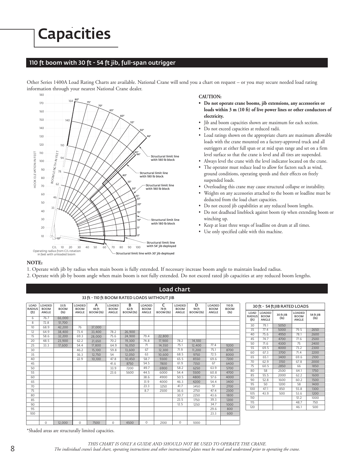## Capacities

#### 110 ft boom with 30 ft - 54 ft jib, full-span outrigger

Other Series 1400A Load Rating Charts are available. National Crane will send you a chart on request – or you may secure needed load rating information through your nearest National Crane dealer.



#### **CAUTION:**

- **• Do not operate crane booms, jib extensions, any accessories or loads within 3 m (10 ft) of live power lines or other conductors of electricity.**
- Jib and boom capacities shown are maximum for each section.
- Do not exceed capacities at reduced radii.
- Load ratings shown on the appropriate charts are maximum allowable loads with the crane mounted on a factory-approved truck and all outriggers at either full span or at mid span range and set on a firm level surface so that the crane is level and all tires are suspended.
- Always level the crane with the level indicator located on the crane. The operator must reduce load to allow for factors such as wind,
- ground conditions, operating speeds and their effects on freely suspended loads.
- Overloading this crane may cause structural collapse or instability.
- Weights on any accessories attached to the boom or loadline must be deducted from the load chart capacities.
- Do not exceed jib capabilities at any reduced boom lengths.
- Do not deadhead lineblock against boom tip when extending boom or winching up.

54 ft JIB (lb)

- Keep at least three wraps of loadline on drum at all times.
- Use only specified cable with this machine.

#### **NOTE:**

- 1. Operate with jib by radius when main boom is fully extended. If necessary increase boom angle to maintain loaded radius.
- 2. Operate with jib by boom angle when main boom is not fully extended. Do not exceed rated jib capacities at any reduced boom lengths.

|                       |                                             |                      |                       |                  |                       |                  |                       |                  | <b>Load chart</b>                          |                  |       |                       |                       |                              |           |                               |  |  |
|-----------------------|---------------------------------------------|----------------------|-----------------------|------------------|-----------------------|------------------|-----------------------|------------------|--------------------------------------------|------------------|-------|-----------------------|-----------------------|------------------------------|-----------|-------------------------------|--|--|
|                       | 33 ft - 110 ft BOOM RATED LOADS WITHOUT JIB |                      |                       |                  |                       |                  |                       |                  |                                            |                  |       |                       |                       |                              |           |                               |  |  |
| LOAD<br><b>RADIUS</b> | <b>LOADED</b><br><b>BOOM</b>                | 33 ft<br><b>BOOM</b> | LOADED<br><b>BOOM</b> | Α<br>46 ft       | LOADED<br><b>BOOM</b> | в<br>62 ft       | LOADED<br><b>BOOM</b> | C<br>78 ft       | D<br><b>LOADED</b><br><b>BOOM</b><br>94 ft |                  |       | LOADED<br><b>BOOM</b> | 110 ft<br><b>BOOM</b> |                              |           | 30 ft - 54 ft JIB RATED LOADS |  |  |
| (f <sub>t</sub> )     | ANGLE                                       | (I <sub>b</sub> )    | ANGLE                 | BOOM (Ib)        | ANGLE                 | BOOM (Ib)        | ANGLE                 | BOOM (lb)        | ANGLE                                      | BOOM (Ib)        | ANGLE | (Ib)                  | LOAD<br><b>RADIUS</b> | <b>LOADED</b><br><b>BOOM</b> | 30 ft JIB | LOADED<br><b>BOOM</b>         |  |  |
| 6                     | 76.7                                        | 66,000               |                       |                  |                       |                  |                       |                  |                                            |                  |       |                       | (f <sub>t</sub> )     | ANGLE                        | (1b)      | ANGLE                         |  |  |
| 8                     | 72.8                                        | 51,700               |                       |                  |                       |                  |                       |                  |                                            |                  |       |                       | 30                    | 79.1                         | 5050      |                               |  |  |
| 10                    | 68.9                                        | 42.200               | 76                    | 37,000           |                       |                  |                       |                  |                                            |                  |       |                       | 35                    | 77.4                         | 5000      | 79.5                          |  |  |
| 12                    | 64.9                                        | 38,400               | 73.4                  | 33,400           | 78.2                  | 26.900           | 79.4                  |                  |                                            |                  |       |                       | 40                    | 75.6                         | 4950      | 78.1                          |  |  |
| 15                    | 58.6                                        | 32.200               | 69.3                  | 28,000           | 75.6<br>70.2          | 24.900           | 74.8                  | 22,800           | 78.2                                       | 14,100           |       |                       | 45                    | 74.7                         | 4700      | 77.6                          |  |  |
| 20                    | 48.5                                        | 23.900               | 62.2                  | 21.650           |                       | 19.300           | 71                    | 17.900           | 75.1                                       |                  | 77.4  |                       | 50                    | 71.6                         | 4300      | 75                            |  |  |
| 25<br>30              | 33.3                                        | 17,600               | 54.4<br>46.2          | 17,800<br>15,100 | 64.9<br>59.8          | 16.050<br>13.600 | 67                    | 14.550<br>12.300 | 71.9                                       | 12.400<br>11.200 | 75.1  | 9200<br>8700          | 55                    | 69.5                         | 4000      | 73.2                          |  |  |
| 35                    |                                             |                      | 36.3                  | 12.750           | 54                    | 12.050           | 63                    | 10.600           | 68.5                                       | 9750             | 72.5  | 8000                  | 60                    | 67.3                         | 3700      | 71.4                          |  |  |
| 40                    |                                             |                      | 22.9                  | 10.100           | 47.8                  | 10.450           | 58.7                  | 9300             | 65.5                                       | 8550             | 69.6  | 7200                  | 65                    | 65.1                         | 3400      | 69.6                          |  |  |
| 45                    |                                             |                      |                       |                  | 41.6                  | 8750             | 54.5                  | 7800             | 61.9                                       | 7350             | 67    | 6400                  | 70                    | 62.9                         | 3150      | 67.8                          |  |  |
| 50                    |                                             |                      |                       |                  | 33.9                  | 7200             | 49.7                  | 6900             | 58.2                                       | 6250             | 63.9  | 5700                  | 75                    | 60.5                         | 2850      | 66                            |  |  |
| 55                    |                                             |                      |                       |                  | 23.6                  | 5600             | 44.5                  | 6000             | 54.4                                       | 5500             | 60.8  | 4700                  | 80                    | 58                           | 2500      | 64.1                          |  |  |
| 60                    |                                             |                      |                       |                  |                       |                  | 38.6                  | 4900             | 50.5                                       | 4800             | 57.6  | 4000                  | 85                    | 55.5                         | 2000      | 62.2                          |  |  |
| 65                    |                                             |                      |                       |                  |                       |                  | 31.9                  | 4000             | 46.3                                       | 4200             | 54.4  | 3400                  | 90                    | 52.8                         | 1600      | 60.2                          |  |  |
| 70                    |                                             |                      |                       |                  |                       |                  | 23.3                  | 3250             | 41.7                                       | 3450             | 51    | 2700                  | 95                    | 50                           | 1200      | 58                            |  |  |
| 75                    |                                             |                      |                       |                  |                       |                  | 8.7                   | 2500             | 36.6                                       | 2750             | 47.4  | 2300                  | 100                   | 47.1                         | 850       | 55.8                          |  |  |
| 80                    |                                             |                      |                       |                  |                       |                  |                       |                  | 30.7                                       | 2250             | 43.6  | 1800                  | 105                   | 43.9                         | 500       | 53.6                          |  |  |
| 85                    |                                             |                      |                       |                  |                       |                  |                       |                  | 23.5                                       | 1750             | 39.3  | 1200                  | 110                   |                              |           | 51.2                          |  |  |
| 90                    |                                             |                      |                       |                  |                       |                  |                       |                  | 12.5                                       | 1250             | 34.7  | 1000                  | 115                   |                              |           | 48.7                          |  |  |
| 95                    |                                             |                      |                       |                  |                       |                  |                       |                  |                                            |                  | 29.6  | 800                   | 120                   |                              |           | 46.1                          |  |  |
| 100                   |                                             |                      |                       |                  |                       |                  |                       |                  |                                            |                  | 23.3  | 600                   |                       |                              |           |                               |  |  |
|                       |                                             |                      |                       |                  |                       |                  |                       |                  |                                            |                  |       |                       |                       |                              |           |                               |  |  |
|                       | 0                                           | 12,000               | $\circ$               | 7500             | $\Omega$              | 4500             | $\circ$               | 2100             | 0                                          | 1000             |       |                       |                       |                              |           |                               |  |  |

\*Shaded areas are structurally limited capacities.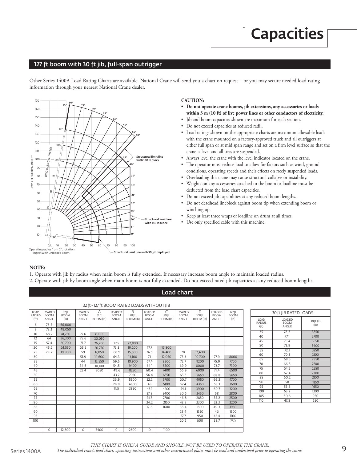# **Capacities**

### 127 ft boom with 30 ft jib, full-span outrigger

Other Series 1400A Load Rating Charts are available. National Crane will send you a chart on request – or you may secure needed load rating information through your nearest National Crane dealer.



#### **CAUTION:**

- **• Do not operate crane booms, jib extensions, any accessories or loads within 3 m (10 ft) of live power lines or other conductors of electricity.**
- Jib and boom capacities shown are maximum for each section.
- Do not exceed capacities at reduced radii.
- Load ratings shown on the appropriate charts are maximum allowable loads with the crane mounted on a factory-approved truck and all outriggers at either full span or at mid span range and set on a firm level surface so that the crane is level and all tires are suspended.
- Always level the crane with the level indicator located on the crane.
- The operator must reduce load to allow for factors such as wind, ground conditions, operating speeds and their effects on freely suspended loads.
- Overloading this crane may cause structural collapse or instability.
- Weights on any accessories attached to the boom or loadline must be deducted from the load chart capacities.
- Do not exceed jib capabilities at any reduced boom lengths.
- Do not deadhead lineblock against boom tip when extending boom or winching up.
- Keep at least three wraps of loadline on drum at all times.
- Use only specified cable with this machine.

#### **NOTE:**

- 1. Operate with jib by radius when main boom is fully extended. If necessary increase boom angle to maintain loaded radius.
- 2. Operate with jib by boom angle when main boom is not fully extended. Do not exceed rated jib capacities at any reduced boom lengths.

#### Load chart

| 32 ft - 127 ft BOOM RATED LOADS WITHOUT JIB |                                       |                                           |                                |                         |                                |                         |                                |                         |                                       |                          |                                |                               |
|---------------------------------------------|---------------------------------------|-------------------------------------------|--------------------------------|-------------------------|--------------------------------|-------------------------|--------------------------------|-------------------------|---------------------------------------|--------------------------|--------------------------------|-------------------------------|
| LOAD<br><b>RADIUS</b><br>(ft)               | <b>IOADED</b><br><b>BOOM</b><br>ANGLE | 32 ft<br><b>BOOM</b><br>(I <sub>b</sub> ) | LOADED<br><b>BOOM</b><br>ANGLE | A<br>51 ft<br>BOOM (lb) | LOADED<br><b>BOOM</b><br>ANGLE | B<br>70 ft<br>BOOM (lb) | LOADED<br><b>BOOM</b><br>ANGLE | C<br>89 ft<br>BOOM (lb) | <b>IOADED</b><br><b>BOOM</b><br>ANGLE | D<br>108 ft<br>BOOM (lb) | LOADED<br><b>BOOM</b><br>ANGLE | 127 ft<br><b>BOOM</b><br>(1b) |
| 6                                           | 76.5                                  | 66.000                                    |                                |                         |                                |                         |                                |                         |                                       |                          |                                |                               |
| $\overline{8}$                              | 72.3                                  | 48.050                                    |                                |                         |                                |                         |                                |                         |                                       |                          |                                |                               |
| 10                                          | 68.2                                  | 41,250                                    | 77.6                           | 33,000                  |                                |                         |                                |                         |                                       |                          |                                |                               |
| 12                                          | 64                                    | 36,300                                    | 75.6                           | 30,050                  |                                |                         |                                |                         |                                       |                          |                                |                               |
| 15                                          | 57.4                                  | 30,700                                    | 71.7                           | 26,200                  | 77.5                           | 22,800                  |                                |                         |                                       |                          |                                |                               |
| 20                                          | 45.2                                  | 24,550                                    | 65.5                           | 20,750                  | 73.3                           | 19,200                  | 77.7                           | 16,800                  |                                       |                          |                                |                               |
| 25                                          | 29.2                                  | 19,900                                    | 59                             | 17,050                  | 68.9                           | 15,600                  | 74.5                           | 14.400                  | 78                                    | 12,400                   |                                |                               |
| 30                                          |                                       |                                           | 51.9                           | 14,600                  | 64.3                           | 13,100                  | 71                             | 12,050                  | 75.3                                  | 10,700                   | 77.9                           | 8000                          |
| 35                                          |                                       |                                           | 44                             | 12,550                  | 59.5                           | 10,900                  | 67.4                           | 9900                    | 72.7                                  | 9200                     | 75.9                           | 7700                          |
| 40                                          |                                       |                                           | 34.6                           | 10,100                  | 54.5                           | 9400                    | 64.1                           | 8500                    | 69.9                                  | 8000                     | 73.7                           | 7300                          |
| 45                                          |                                       |                                           | 23.4                           | 8050                    | 49.6                           | 8250                    | 60.4                           | 7400                    | 66.9                                  | 6900                     | 71.4                           | 6500                          |
| 50                                          |                                       |                                           |                                |                         | 43.7                           | 7050                    | 56.4                           | 6350                    | 63.8                                  | 5650                     | 68.8                           | 5650                          |
| 55                                          |                                       |                                           |                                |                         | 36.9                           | 5900                    | 52.3                           | 5700                    | 60.7                                  | 4950                     | 66.2                           | 4700                          |
| 60                                          |                                       |                                           |                                |                         | 28.9                           | 4800                    | 48                             | 5100                    | 57.4                                  | 4350                     | 63.3                           | 3600                          |
| 65                                          |                                       |                                           |                                |                         | 17.5                           | 3850                    | 43.1                           | 4200                    | 54.1                                  | 3900                     | 60.7                           | 3200                          |
| 70                                          |                                       |                                           |                                |                         |                                |                         | 37.8                           | 3400                    | 50.6                                  | 3450                     | 58                             | 2800                          |
| 75                                          |                                       |                                           |                                |                         |                                |                         | 31.7                           | 2700                    | 46.8                                  | 2850                     | 55.2                           | 2500                          |
| 80                                          |                                       |                                           |                                |                         |                                |                         | 24.2                           | 2150                    | 42.8                                  | 2300                     | 52.3                           | 2200                          |
| 85                                          |                                       |                                           |                                |                         |                                |                         | 12.8                           | 1600                    | 38.4                                  | 1800                     | 49.3                           | 1950                          |
| 90                                          |                                       |                                           |                                |                         |                                |                         |                                |                         | 33.4                                  | 1350                     | 46                             | 1500                          |
| 95                                          |                                       |                                           |                                |                         |                                |                         |                                |                         | 27.7                                  | 950                      | 42.4                           | 1100                          |
| 100                                         |                                       |                                           |                                |                         |                                |                         |                                |                         | 20.6                                  | 600                      | 38.7                           | 750                           |
|                                             |                                       |                                           |                                |                         |                                |                         |                                |                         |                                       |                          |                                |                               |
|                                             | 0                                     | 12,800                                    | 0                              | 5400                    | 0                              | 2600                    | $\circ$                        | 1100                    |                                       |                          |                                |                               |

| 30 ft JIB RATED LOADS                      |                                |                   |  |  |  |  |
|--------------------------------------------|--------------------------------|-------------------|--|--|--|--|
| LOAD<br><b>RADIUS</b><br>(f <sub>t</sub> ) | LOADED<br><b>BOOM</b><br>ANGLE | 30 ft JIB<br>(1b) |  |  |  |  |
| 35                                         | $\overline{78.6}$              | 3850              |  |  |  |  |
| 40                                         | 77.1                           | 3700              |  |  |  |  |
| 45                                         | 75.4                           | 3550              |  |  |  |  |
| 50                                         | 73.8                           | 3400              |  |  |  |  |
| 55                                         | 72.1                           | 3250              |  |  |  |  |
| 60                                         | 70.3                           | 3100              |  |  |  |  |
| 65                                         | 68.5                           | 2950              |  |  |  |  |
| 70                                         | 66.5                           | 2700              |  |  |  |  |
| 75                                         | 64.5                           | 2550              |  |  |  |  |
| 80                                         | 62.4                           | 2300              |  |  |  |  |
| 85                                         | 60.2                           | 2100              |  |  |  |  |
| 90                                         | 58                             | 1850              |  |  |  |  |
| 95                                         | 55.6                           | 1650              |  |  |  |  |
| 100                                        | 53.2                           | 1300              |  |  |  |  |
| 105                                        | 50.6                           | 950               |  |  |  |  |
| 110                                        | 47.8                           | 650               |  |  |  |  |

THIS CHART IS ONLY A GUIDE AND SHOULD NOT BE USED TO OPERATE THE CRANE.

National Crane 900H 9 *The individual crane's load chart, operating instructions and other instructional plates must be read and understood prior to operating the crane.*Series 1400A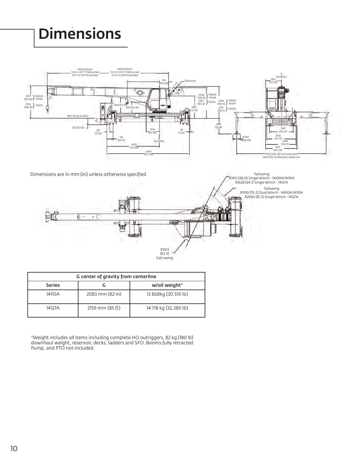# **Dimensions**



Dimensions are in mm (in) unless otherwise specified.

Tailswing<br>R1473 (58.0) Single Winch - 14100A/14110A<br>R1628 (64.1) Single Winch - 14127A Tailswing R1910 (75.2) Dual Winch - 14100A/14110A R2065 (81.3) Single Winch - 14127A **EZA** 



| G center of gravity from centerline |                 |                           |  |  |  |  |  |
|-------------------------------------|-----------------|---------------------------|--|--|--|--|--|
| <b>Series</b>                       |                 | w/oil weight <sup>*</sup> |  |  |  |  |  |
| 14110A                              | 2083 mm (82 in) | 13 868kg (30,510 lb)      |  |  |  |  |  |
| 14127A                              | 2159 mm (85 ft) | 14 718 kg (32,380 lb)     |  |  |  |  |  |

promic decl \*Weight includes all items including complete HO outriggers, 82 kg (180 lb)<br>\*Weight includes all items including complete HO outriggers, 82 kg (180 lb) downhaul weight, reservoir, decks, ladders and SFO. Booms fully retracted. Pump, and PTO not included.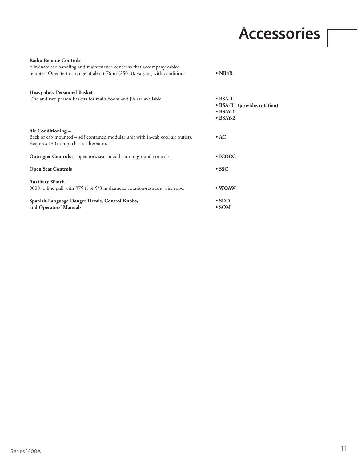## Accessories

| Radio Remote Controls -<br>Eliminate the handling and maintenance concerns that accompany cabled                                                |                                                                                         |
|-------------------------------------------------------------------------------------------------------------------------------------------------|-----------------------------------------------------------------------------------------|
| remotes. Operate to a range of about 76 m (250 ft), varying with conditions.                                                                    | $\bullet$ NB4R                                                                          |
| Heavy-duty Personnel Basket -                                                                                                                   |                                                                                         |
| One and two person baskets for main boom and jib are available.                                                                                 | $\bullet$ BSA-1<br>• BSA-R1 (provides rotation)<br>$\bullet$ BSAY-1<br>$\bullet$ BSAY-2 |
| Air Conditioning -<br>Back of cab mounted - self contained modular unit with in-cab cool air outlets.<br>Requires 130+ amp. chassis alternator. | $\bullet$ AC                                                                            |
| <b>Outrigger Controls</b> at operator's seat in addition to ground controls.                                                                    | $\bullet$ ICORC                                                                         |
| <b>Open Seat Controls</b>                                                                                                                       | $\bullet$ SSC                                                                           |
| <b>Auxiliary Winch-</b><br>9000 lb line pull with 375 ft of 5/8 in diameter rotation-resistant wire rope.                                       | • WOAW                                                                                  |
| Spanish-Language Danger Decals, Control Knobs,<br>and Operators' Manuals                                                                        | $\cdot$ SDD<br>$\cdot$ SOM                                                              |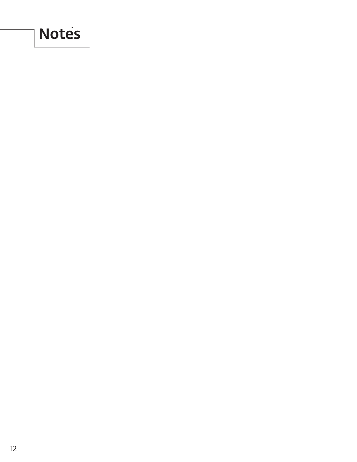## **Notes**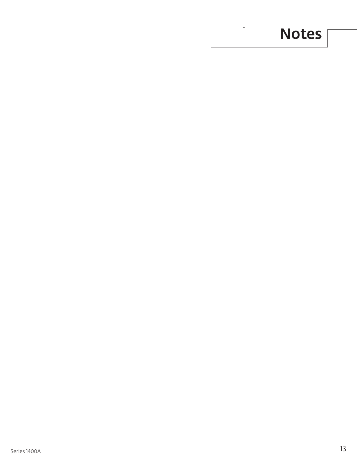# **Section Motes**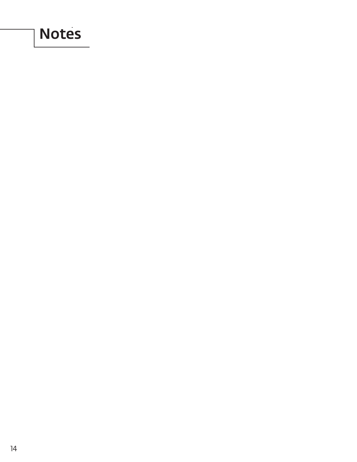## **Notes**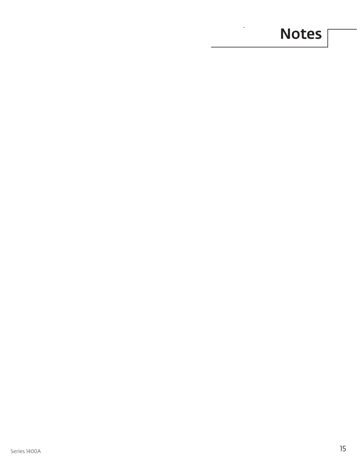# **Section Motes**